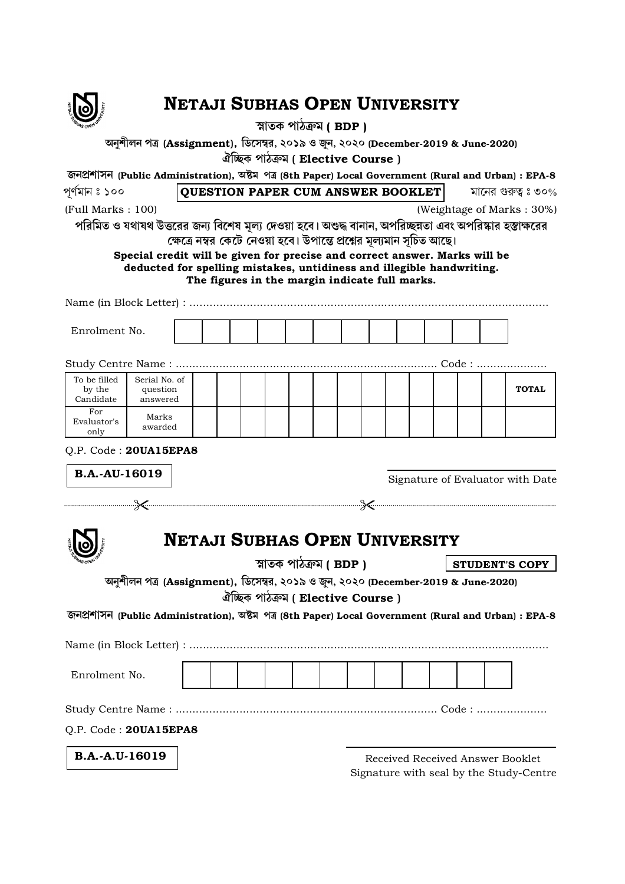| É<br>OPEN <sup>TRES</sup><br>SUBHAS |
|-------------------------------------|
|-------------------------------------|

# **NETAJI SUBHAS OPEN UNIVERSITY**

স্নাতক পাঠক্ৰম। BDP ৷

অনুশীলন পত্র (Assignment), ডিসেম্বর, ২০১৯ ও জুন, ২০২০ (December-2019 & June-2020)

ঐচ্ছিক পাঠক্ৰম। Elective Course)

|  | জনপ্ৰশাসন (Public Administration), অষ্টম পত্ৰ (8th Paper) Local Government (Rural and Urban) : EPA-8 |  |
|--|------------------------------------------------------------------------------------------------------|--|
|--|------------------------------------------------------------------------------------------------------|--|

পূর্ণমান ঃ ১০০ **QUESTION PAPER CUM ANSWER BOOKLET** 

(Weightage of Marks: 30%)

মানের গুরুত্ব ঃ ৩০%

পরিমিত ও যথাযথ উত্তরের জন্য বিশেষ মূল্য দেওয়া হবে। অশুদ্ধ বানান, অপরিচ্ছন্নতা এবং অপরিষ্কার হস্তাক্ষরের ক্ষেত্রে নম্বর কেটে নেওয়া হবে। উপান্তে প্রশ্নের মূল্যমান সূচিত আছে।

Special credit will be given for precise and correct answer. Marks will be deducted for spelling mistakes, untidiness and illegible handwriting. The figures in the margin indicate full marks.

Enrolment No

(Full Marks: 100)

| To be filled<br>by the<br>Candidate | Serial No. of<br>question<br>answered |  |  |  |  |  |  | <b>TOTAL</b> |
|-------------------------------------|---------------------------------------|--|--|--|--|--|--|--------------|
| For<br>Evaluator's<br>only          | Marks<br>awarded                      |  |  |  |  |  |  |              |

#### Q.P. Code: 20UA15EPA8

**B.A.-AU-16019** 

Signature of Evaluator with Date

| Ì<br>PENITAS ASSIT<br>SCIBHAS |
|-------------------------------|
|-------------------------------|

# **NETAJI SUBHAS OPEN UNIVERSITY**

স্নাতক পাঠক্ৰম। BDP।

STUDENT'S COPY

অনুশীলন পত্র (Assignment), ডিসেম্বর, ২০১৯ ও জুন, ২০২০ (December-2019 & June-2020)

ঐচ্ছিক পাঠক্ৰম ( Elective Course )

জনপ্ৰশাসন (Public Administration), অষ্টম পত্ৰ (8th Paper) Local Government (Rural and Urban) : EPA-8

|  | Enrolment No. |  |  |  |  |  |  |  |  |  |  |  |  |
|--|---------------|--|--|--|--|--|--|--|--|--|--|--|--|
|--|---------------|--|--|--|--|--|--|--|--|--|--|--|--|

O.P. Code: 20UA15EPA8

**B.A.-A.U-16019** 

Received Received Answer Booklet Signature with seal by the Study-Centre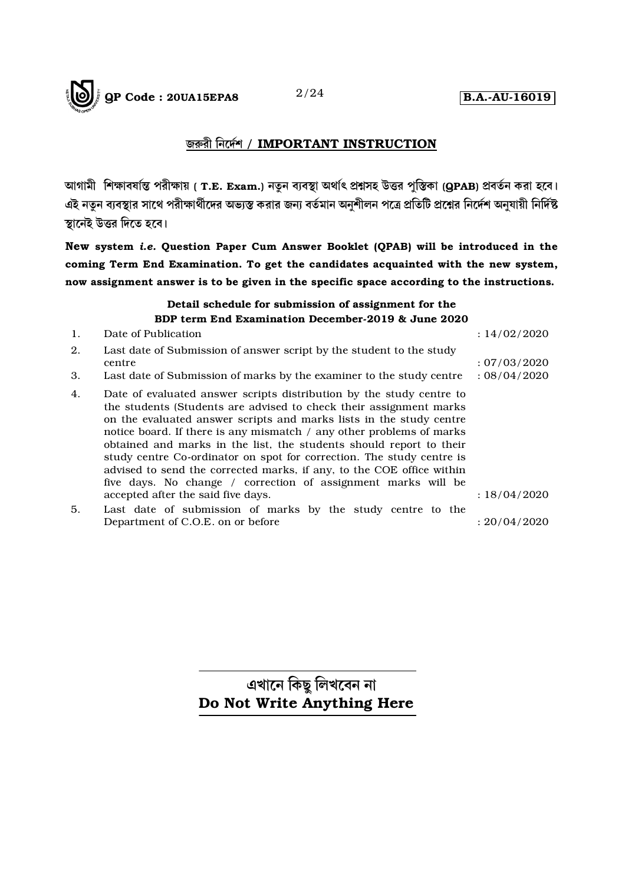

#### জৰুৱী নিৰ্দেশ / IMPORTANT INSTRUCTION

আগামী শিক্ষাবৰ্ষান্ত পরীক্ষায় ( T.E. Exam.) নতুন ব্যবস্থা অর্থাৎ প্রশ্নসহ উত্তর পুস্তিকা (QPAB) প্রবর্তন করা হবে। এই নতুন ব্যবস্থার সাথে পরীক্ষার্থীদের অভ্যস্ত করার জন্য বর্তমান অনুশীলন পত্রে প্রতিটি প্রশ্নের নির্দেশ অনুযায়ী নির্দিষ্ট  $\overline{v}$ ষানেই উত্তর দিতে হবে।

**New system** *i.e.* **Question Paper Cum Answer Booklet (QPAB) will be introduced in the coming Term End Examination. To get the candidates acquainted with the new system, now assignment answer is to be given in the specific space according to the instructions.**

### Detail schedule for submission of assignment for the BDP term End Examination December-2019 & June 2020

| 1. | Date of Publication                                                                                                                                                                                                                                                                                                                                                                                                                                                                                                                                                                                                        | : 14/02/2020 |
|----|----------------------------------------------------------------------------------------------------------------------------------------------------------------------------------------------------------------------------------------------------------------------------------------------------------------------------------------------------------------------------------------------------------------------------------------------------------------------------------------------------------------------------------------------------------------------------------------------------------------------------|--------------|
| 2. | Last date of Submission of answer script by the student to the study<br>centre                                                                                                                                                                                                                                                                                                                                                                                                                                                                                                                                             | : 07/03/2020 |
| 3. | Last date of Submission of marks by the examiner to the study centre                                                                                                                                                                                                                                                                                                                                                                                                                                                                                                                                                       | : 08/04/2020 |
| 4. | Date of evaluated answer scripts distribution by the study centre to<br>the students (Students are advised to check their assignment marks)<br>on the evaluated answer scripts and marks lists in the study centre<br>notice board. If there is any mismatch / any other problems of marks<br>obtained and marks in the list, the students should report to their<br>study centre Co-ordinator on spot for correction. The study centre is<br>advised to send the corrected marks, if any, to the COE office within<br>five days. No change / correction of assignment marks will be<br>accepted after the said five days. | : 18/04/2020 |
| 5. | Last date of submission of marks by the study centre to the                                                                                                                                                                                                                                                                                                                                                                                                                                                                                                                                                                |              |
|    | Department of C.O.E. on or before                                                                                                                                                                                                                                                                                                                                                                                                                                                                                                                                                                                          | : 20/04/2020 |

### $\frac{1}{2}$ খানে কিছু লিখবেন না Do Not Write Anything Here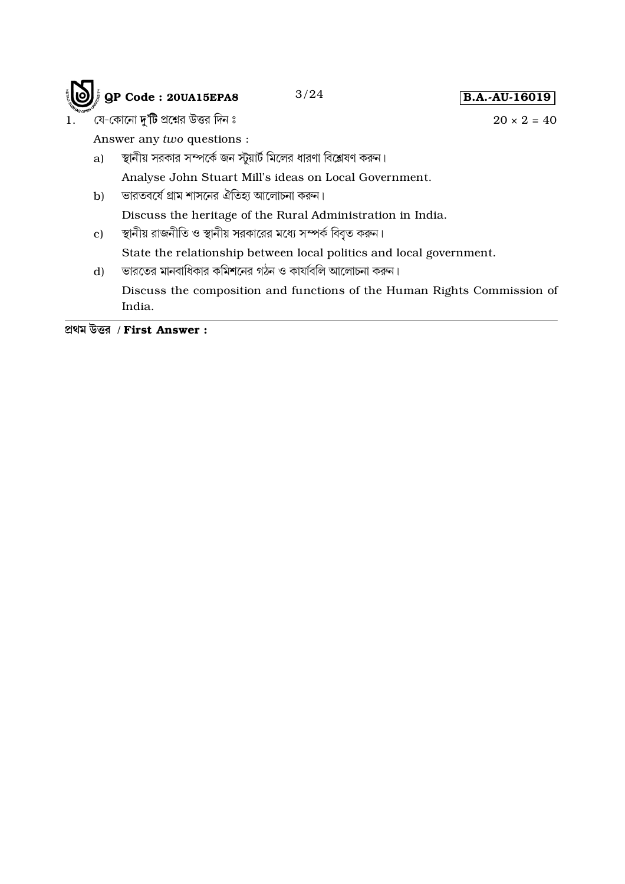

 $3/24$ 

**B.A.-AU-16019** 

 $20 \times 2 = 40$ 

যে-কোনো **দু'টি** প্রশ্নের উত্তর দিন ঃ  $1.$ 

Answer any two questions :

- স্থানীয় সরকার সম্পর্কে জন স্টুয়ার্ট মিলের ধারণা বিশ্লেষণ করন্দ।  $a)$ Analyse John Stuart Mill's ideas on Local Government.
- ভারতবর্ষে গ্রাম শাসনের ঐতিহ্য আলোচনা করুন।  $b)$

Discuss the heritage of the Rural Administration in India.

স্থানীয় রাজনীতি ও স্থানীয় সরকারের মধ্যে সম্পর্ক বিবৃত করুন।  $\mathbf{c})$ 

State the relationship between local politics and local government.

ভারতের মানবাধিকার কমিশনের গঠন ও কার্যবলি আলোচনা করুন।  $\mathbf{d}$ Discuss the composition and functions of the Human Rights Commission of India.

প্ৰথম উত্তর / First Answer :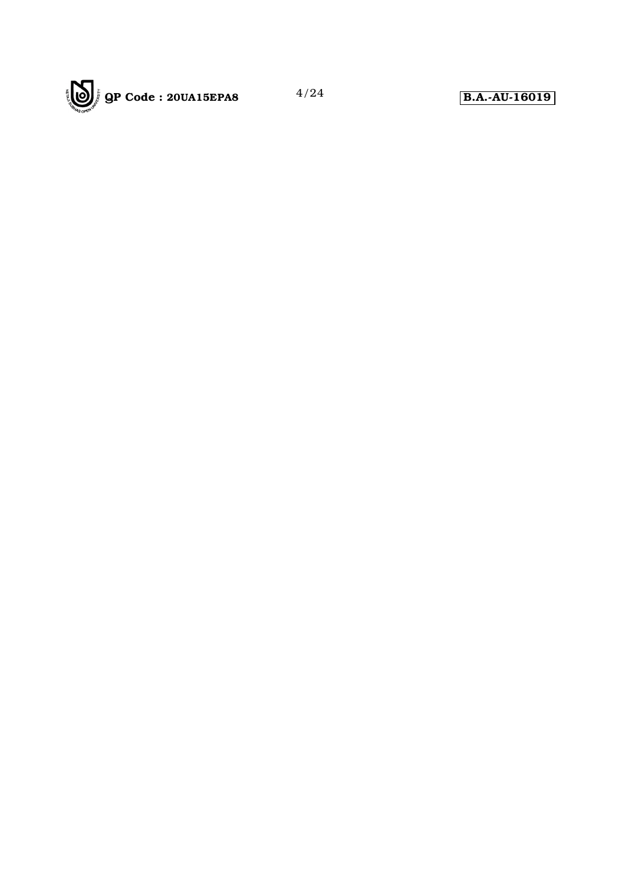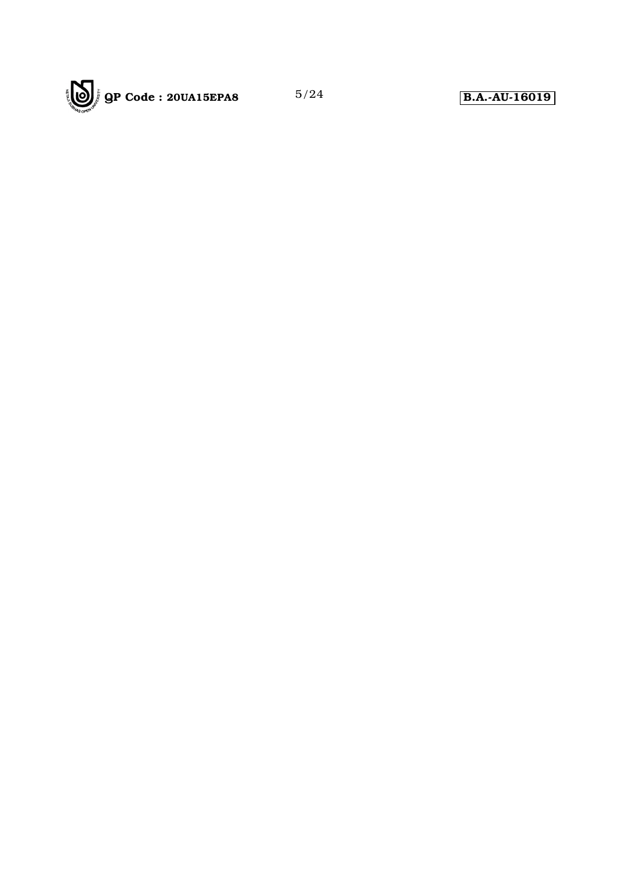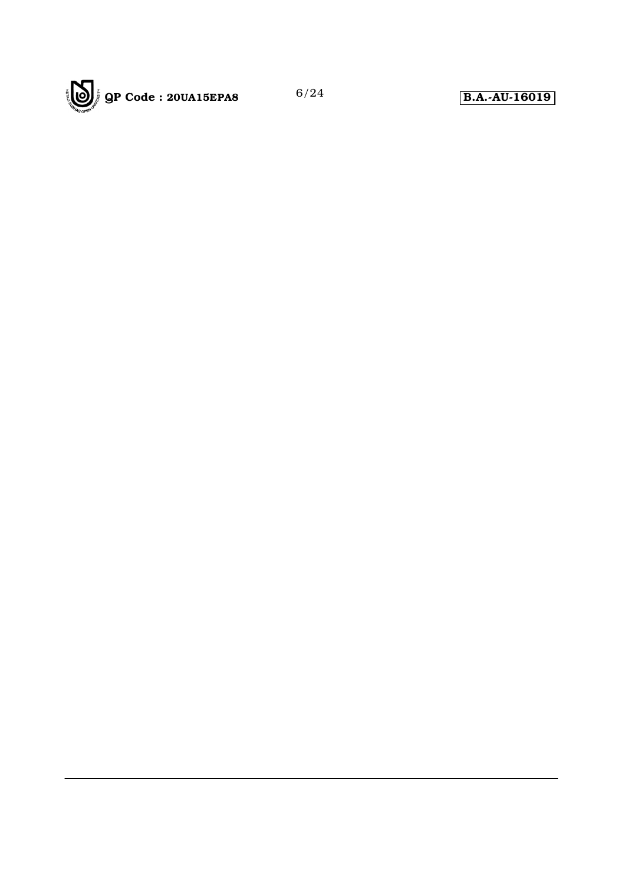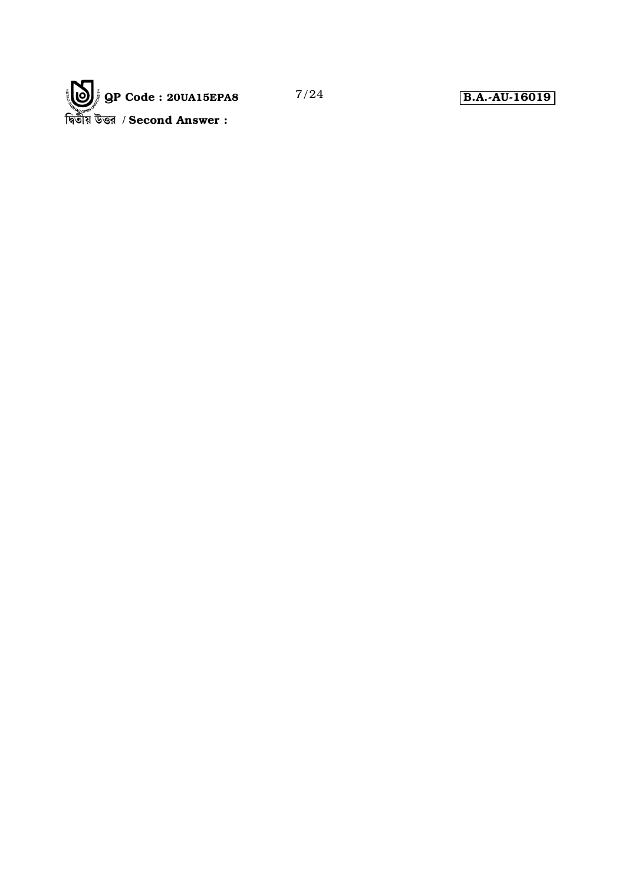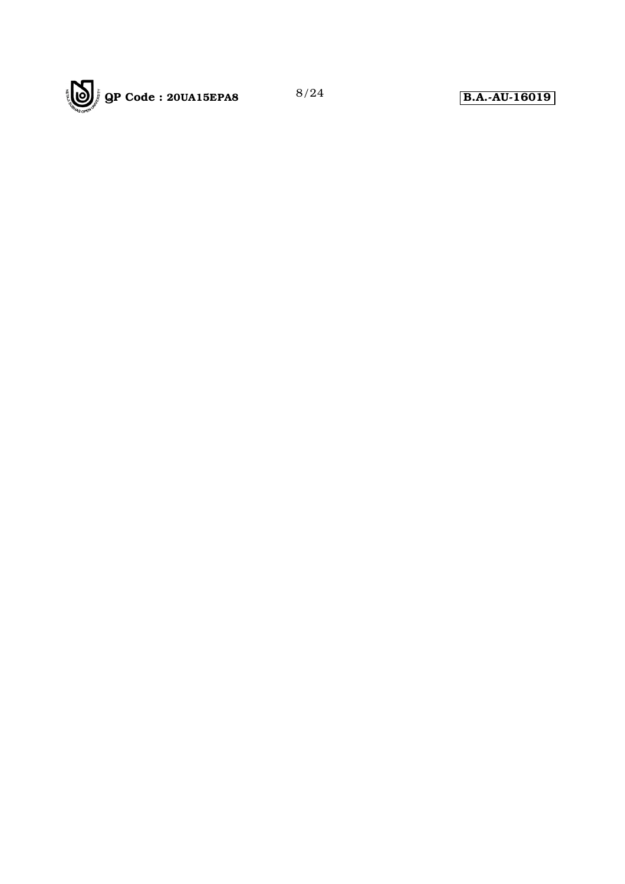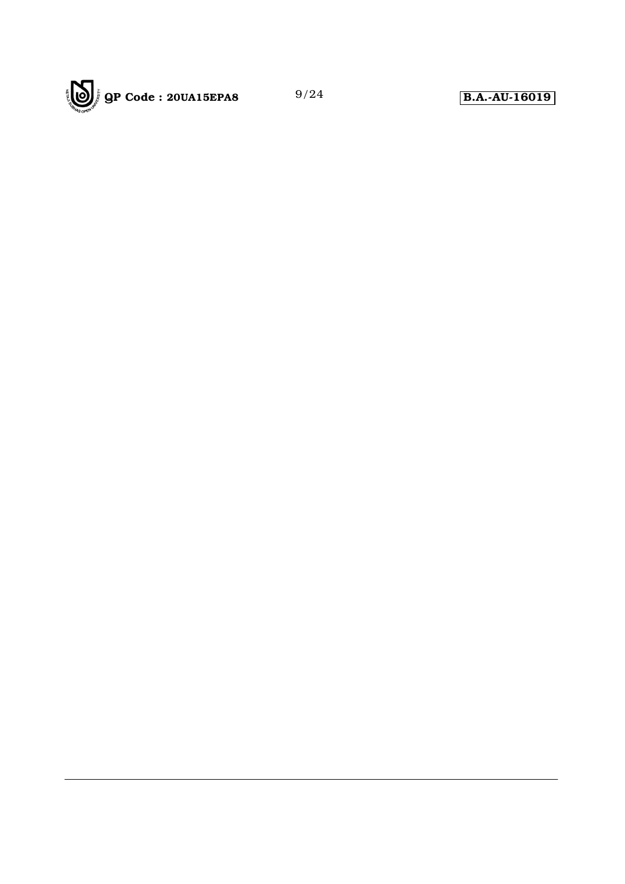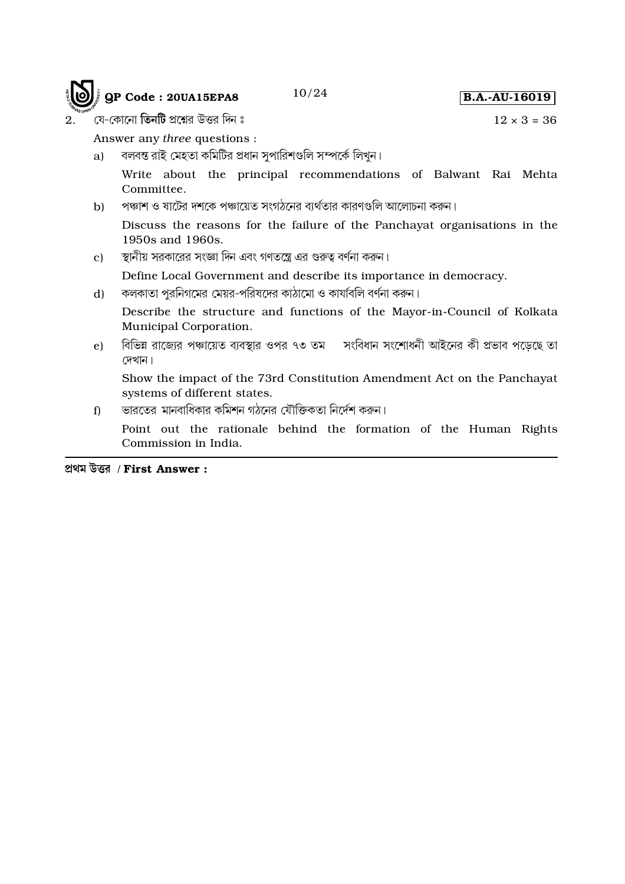$10/24$ 

**B.A.-AU-16019** 

যে-কোনো তিনটি প্রশ্নের উত্তর দিন ঃ  $\mathcal{D}_{\cdot}$ 

 $12 \times 3 = 36$ 

Answer any three questions :

QP Code: 20UA15EPA8

বলবন্ত রাই মেহতা কমিটির প্রধান সুপারিশগুলি সম্পর্কে লিখন।  $a)$ 

Write about the principal recommendations of Balwant Rai Mehta Committee.

পঞ্চাশ ও ষাটের দশকে পঞ্চায়েত সংগঠনের ব্যর্থতার কারণগুলি আলোচনা করুন।  $b)$ 

Discuss the reasons for the failure of the Panchayat organisations in the 1950s and 1960s.

স্থানীয় সরকারের সংজ্ঞা দিন এবং গণতন্ত্রে এর গুরুত্ব বর্ণনা করুন।  $\mathbf{c}$ )

Define Local Government and describe its importance in democracy.

কলকাতা পুরনিগমের মেয়র-পরিষদের কাঠামো ও কার্যাবলি বর্ণনা করুন।  $\mathbf{d}$ 

Describe the structure and functions of the Mayor-in-Council of Kolkata Municipal Corporation.

বিভিন্ন রাজ্যের পঞ্চায়েত ব্যবস্থার ওপর ৭৩ তম সংবিধান সংশোধনী আইনের কী প্রভাব পডেছে তা  $e)$ দেখান।

Show the impact of the 73rd Constitution Amendment Act on the Panchayat systems of different states.

ভারতের মানবাধিকার কমিশন গঠনের যৌক্তিকতা নির্দেশ করুন।  $\mathbf{f}$ 

Point out the rationale behind the formation of the Human Rights Commission in India.

প্ৰথম উত্তর / First Answer: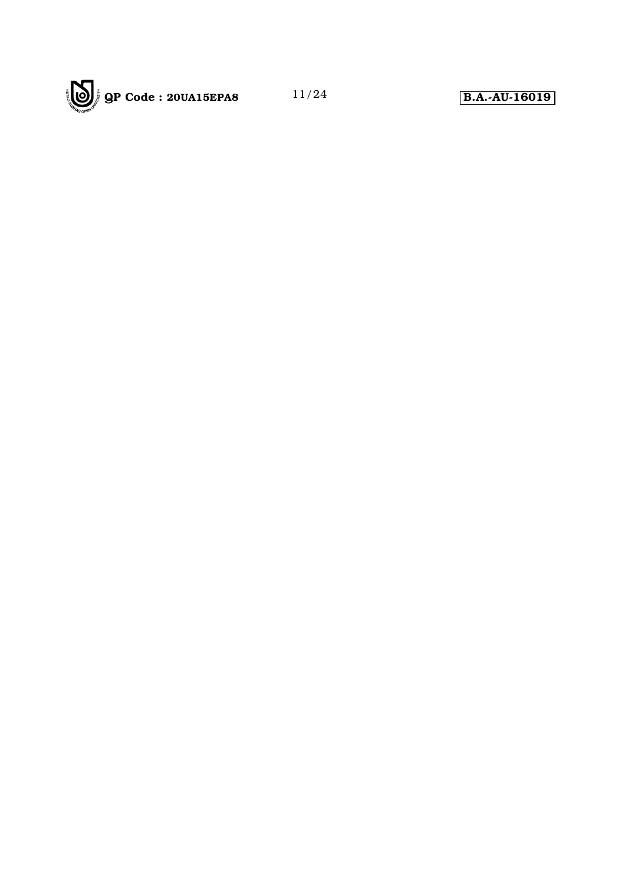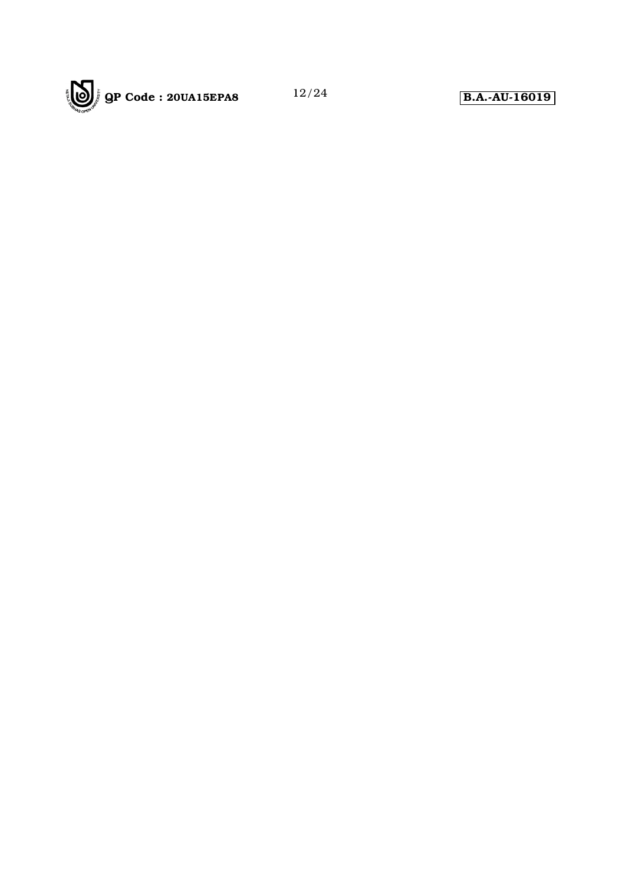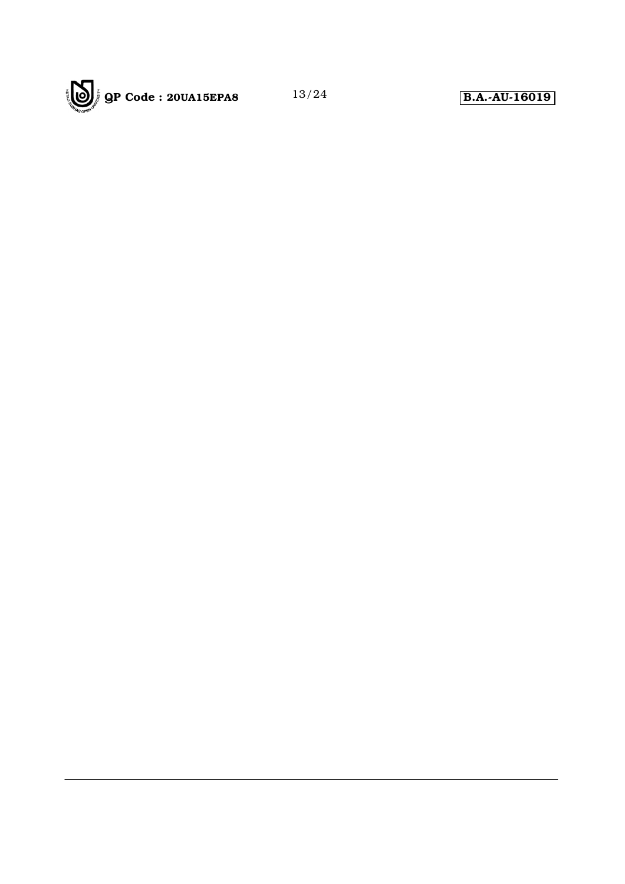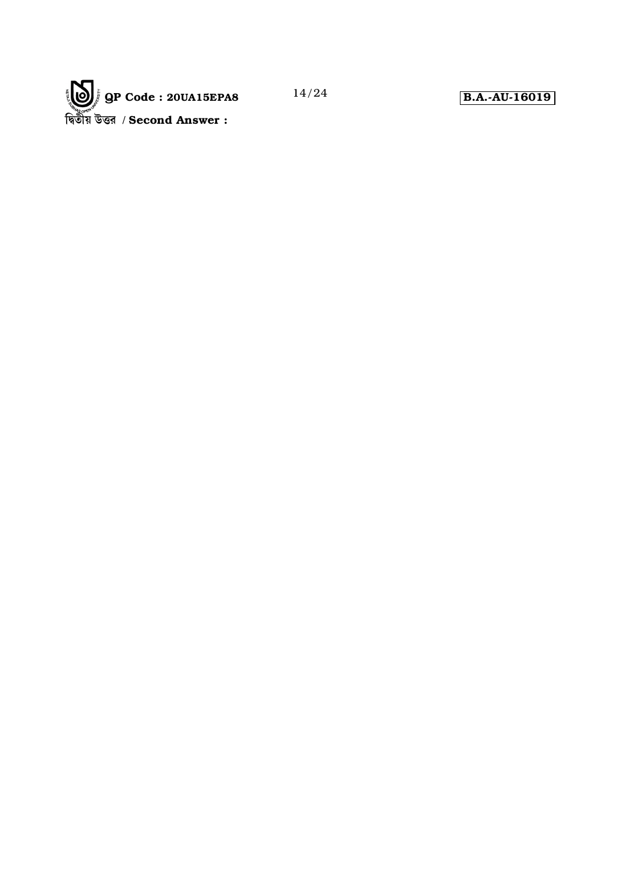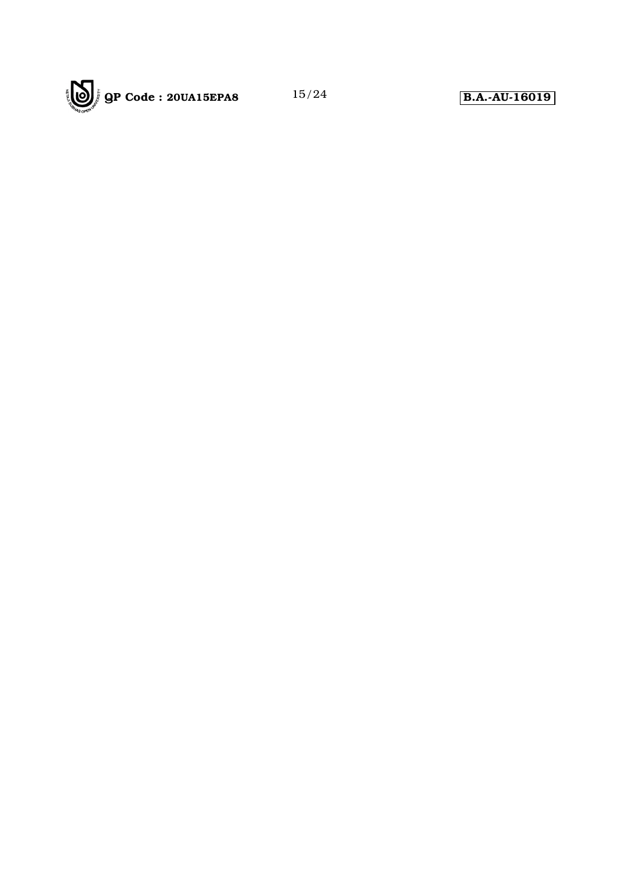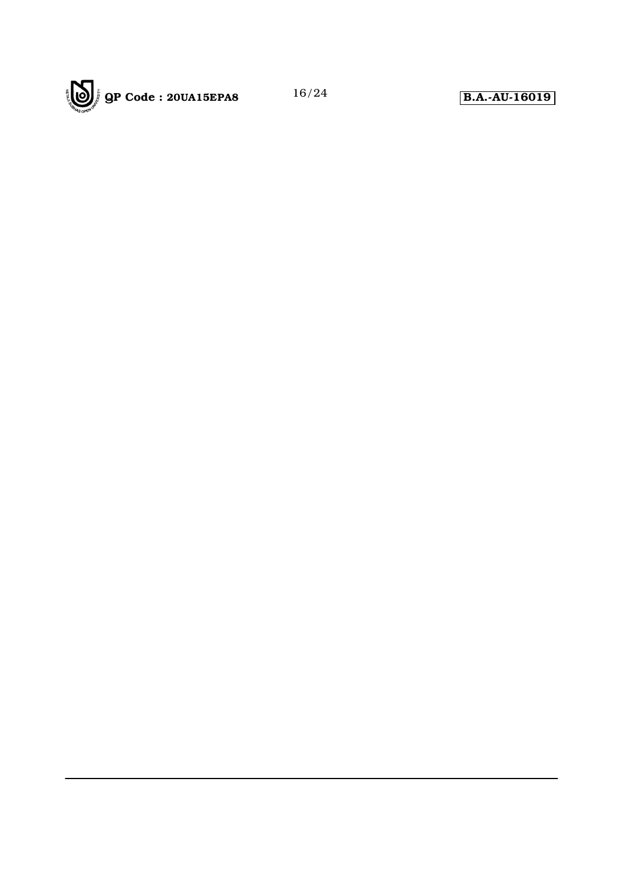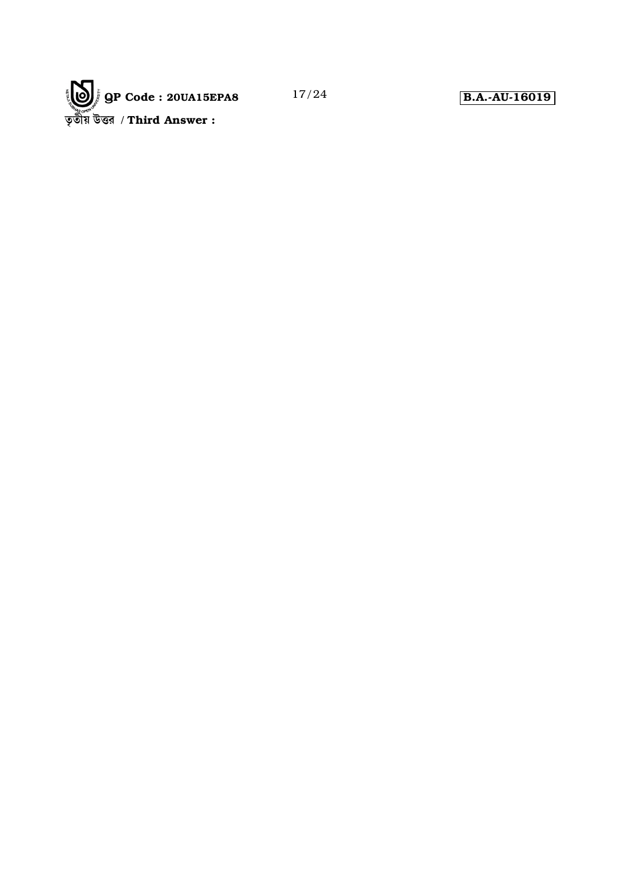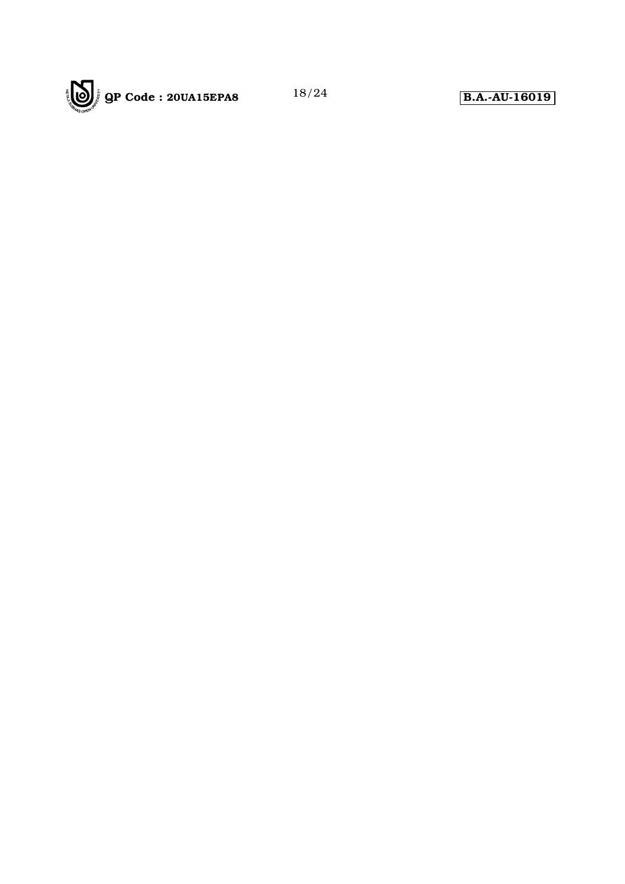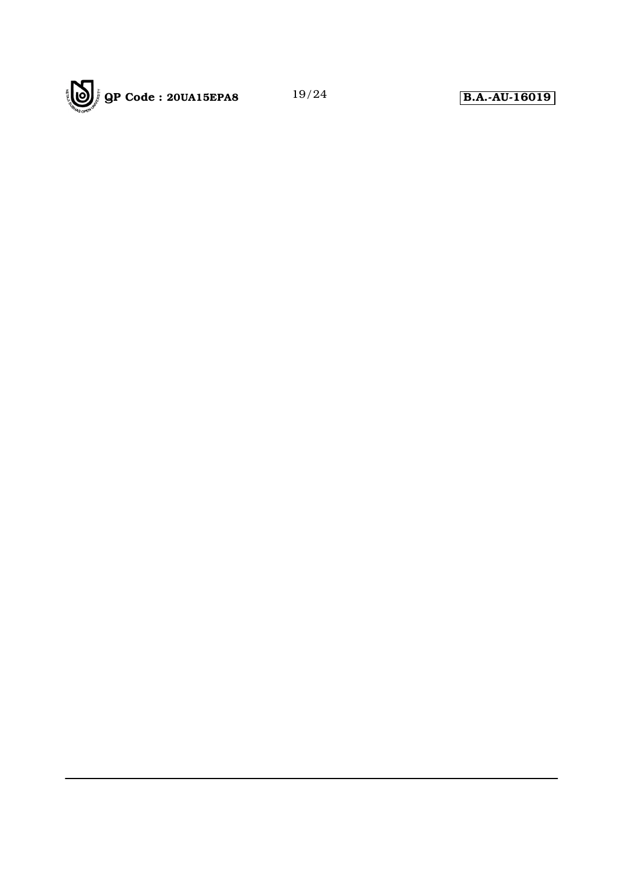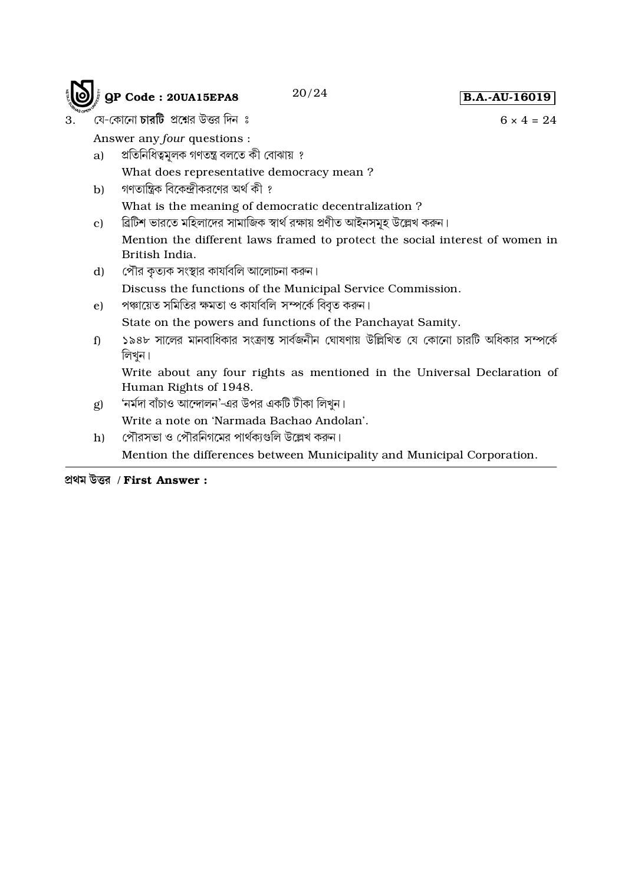$20/24$ 

**B.A.-AU-16019** 

 $6 \times 4 = 24$ 

যে-কোনো চারটি প্রশ্নের উত্তর দিন ঃ  $\mathcal{R}$ 

Answer any four questions :

QP Code: 20UA15EPA8

- প্রতিনিধিত্বমূলক গণতন্ত্র বলতে কী বোঝায় ?  $a)$ What does representative democracy mean?
- গণতান্ত্রিক বিকেন্দ্রীকরণের অর্থ কী ?  $b)$

What is the meaning of democratic decentralization?

ব্রিটিশ ভারতে মহিলাদের সামাজিক স্বার্থ রক্ষায় প্রণীত আইনসমূহ উল্লেখ করুন।  $\mathbf{c}$ )

Mention the different laws framed to protect the social interest of women in British India.

পৌর কৃত্যক সংস্থার কার্যাবলি আলোচনা করুন।  $\mathbf{d}$ 

Discuss the functions of the Municipal Service Commission.

পঞ্চায়েত সমিতির ক্ষমতা ও কার্যাবলি সম্পর্কে বিবৃত করুন।  $e)$ 

State on the powers and functions of the Panchayat Samity.

১৯৪৮ সালের মানবাধিকার সংক্রান্ত সার্বজনীন ঘোষণায় উল্লিখিত যে কোনো চারটি অধিকার সম্পর্কে  $\mathbf{f}$ লিখন।

Write about any four rights as mentioned in the Universal Declaration of Human Rights of 1948.

- 'নৰ্মদা বাঁচাও আন্দোলন'-এর উপর একটি টীকা লিখন।  $g$ )
- Write a note on 'Narmada Bachao Andolan'.
- পৌরসভা ও পৌরনিগমের পার্থকাগুলি উল্লেখ করুন।  $h)$

Mention the differences between Municipality and Municipal Corporation.

প্ৰথম উত্তৰ / First Answer :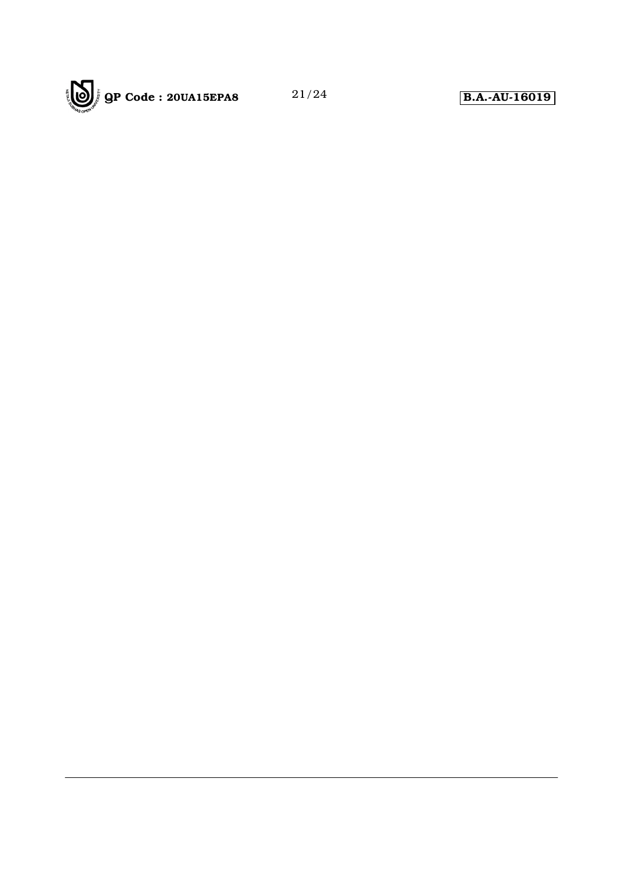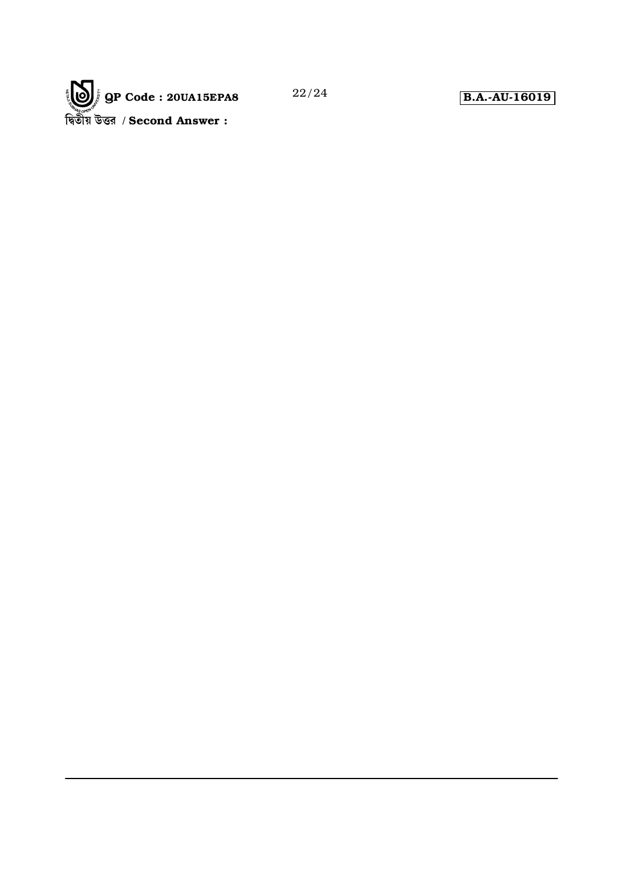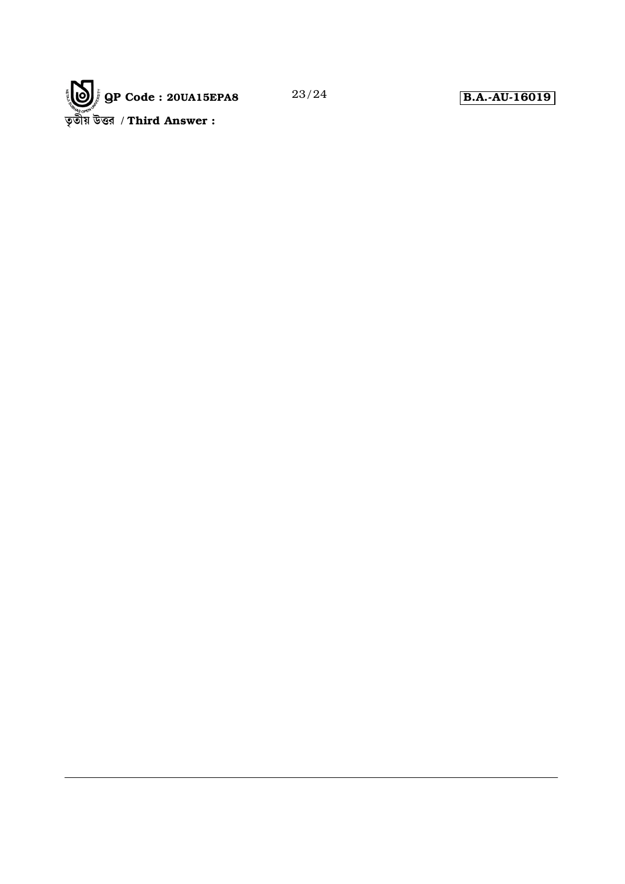